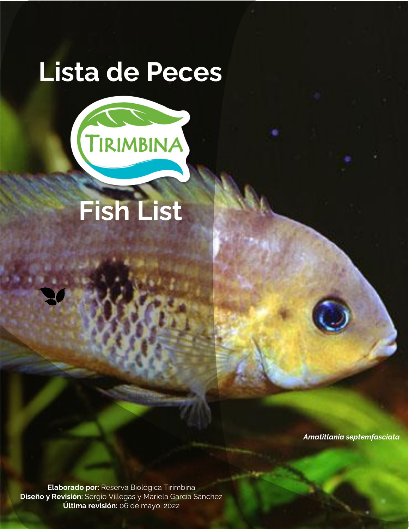# **Lista de Peces**



**Fish List**

*Amatitlania septemfasciata*

**Elaborado por:** Reserva Biológica Tirimbina **Diseño y Revisión:** Sergio Villegas y Mariela García Sánchez **Última revisión:** 06 de mayo, 2022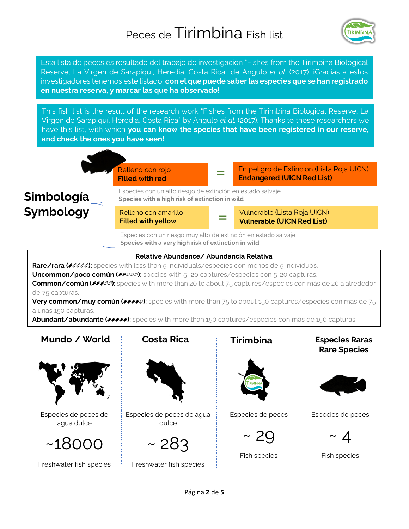

Esta lista de peces es resultado del trabajo de investigación "Fishes from the Tirimbina Biological Reserve, La Virgen de Sarapiquí, Heredia, Costa Rica" de Angulo *et al*. (2017). ¡Gracias a estos investigadores tenemos este listado, **con el que puede saber las especies que se han registrado en nuestra reserva, y marcar las que ha observado!**

This fish list is the result of the research work "Fishes from the Tirimbina Biological Reserve, La Virgen de Sarapiquí, Heredia, Costa Rica" by Angulo *et al.* (2017). Thanks to these researchers we have this list, with which **you can know the species that have been registered in our reserve, and check the ones you have seen!**



### **Relative Abundance/ Abundancia Relativa**

Rare/rara ( $\ell$ *QQQ*): species with less than 5 individuals/especies con menos de 5 individuos. Uncommon/poco común ( $\ell$ <sup> $\ell$  $\ell$  $\varnothing$  $\varnothing$ ): species with 5-20 captures/especies con 5-20 capturas.</sup> **Common/común ( ):** species with more than 20 to about 75 captures/especies con más de 20 a alrededor de 75 capturas.

**Very common/muy común (FFFF):** species with more than 75 to about 150 captures/especies con más de 75 a unas 150 capturas.

Abundant/abundante ( $\ell$ <sup>2</sup> $\ell$ ): species with more than 150 captures/especies con más de 150 capturas.

## **Mundo / World**



### Especies de peces de agua dulce



Freshwater fish species



Especies de peces de agua dulce

 $~283$ 

Freshwater fish species



Especies de peces



Fish species

### **Costa Rica Tirimbina Especies Raras Rare Species**



Especies de peces

 $\sim~\varDelta$ 

Fish species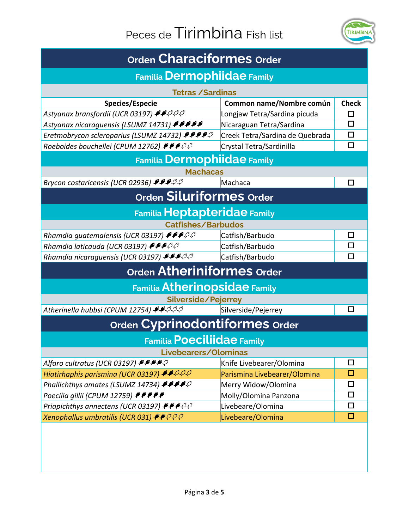

| <b>Orden Characiformes Order</b>                                                                           |                                 |              |  |
|------------------------------------------------------------------------------------------------------------|---------------------------------|--------------|--|
| <b>Familia Dermophiidae Family</b>                                                                         |                                 |              |  |
| <b>Tetras / Sardinas</b>                                                                                   |                                 |              |  |
| Species/Especie                                                                                            | Common name/Nombre común        | <b>Check</b> |  |
| Astyanax bransfordii (UCR 03197) ♦♦२२२                                                                     | Longjaw Tetra/Sardina picuda    | П            |  |
| Astyanax nicaraguensis (LSUMZ 14731) *****                                                                 | Nicaraguan Tetra/Sardina        | ◻            |  |
| Eretmobrycon scleroparius (LSUMZ 14732) ****                                                               | Creek Tetra/Sardina de Quebrada | п            |  |
| Roeboides bouchellei (CPUM 12762) ++++                                                                     | Crystal Tetra/Sardinilla        | □            |  |
| <b>Familia Dermophiidae Family</b>                                                                         |                                 |              |  |
| <b>Machacas</b>                                                                                            |                                 |              |  |
| Brycon costaricensis (UCR 02936) *** 20                                                                    | Machaca                         | П            |  |
| Orden Siluriformes Order                                                                                   |                                 |              |  |
| <b>Familia Heptapteridae Family</b>                                                                        |                                 |              |  |
| <b>Catfishes/Barbudos</b>                                                                                  |                                 |              |  |
| Rhamdia guatemalensis (UCR 03197) FFFPP                                                                    | Catfish/Barbudo                 | □            |  |
| Rhamdia laticauda (UCR 03197) $\blacktriangleright$ $\blacktriangleright$ $\varnothing$ $\varnothing$      | Catfish/Barbudo                 | П            |  |
| Rhamdia nicaraguensis (UCR 03197) *** 20                                                                   | Catfish/Barbudo                 | П            |  |
| Orden Atheriniformes order                                                                                 |                                 |              |  |
| <b>Familia Atherinopsidae Family</b>                                                                       |                                 |              |  |
| Silverside/Pejerrey                                                                                        |                                 |              |  |
| Atherinella hubbsi (CPUM 12754) ♦♦ २२२                                                                     | Silverside/Pejerrey             | П            |  |
| Orden Cyprinodontiformes Order                                                                             |                                 |              |  |
| <b>Familia Poeciliidae Family</b>                                                                          |                                 |              |  |
| Livebearers/Olominas                                                                                       |                                 |              |  |
| Alfaro cultratus (UCR 03197) +++++                                                                         | Knife Livebearer/Olomina        | □            |  |
| Hiatirhaphis parismina (UCR 03197) $\blacktriangleright$ $\blacktriangleright$ $\varnothing$ $\varnothing$ | Parismina Livebearer/Olomina    | □            |  |
| Phallichthys amates (LSUMZ 14734) $\mathcal{F}\mathcal{F}\mathcal{F}\mathcal{S}$                           | Merry Widow/Olomina             | □            |  |
| Poecilia gillii (CPUM 12759) PPPPP                                                                         | Molly/Olomina Panzona           | □            |  |
| Priapichthys annectens (UCR 03197) $\blacktriangleright$ $\blacktriangleright$ $\varnothing$ $\varnothing$ | Livebeare/Olomina               | $\Box$       |  |
| Xenophallus umbratilis (UCR 031) ♦ ♦ २२२                                                                   | Livebeare/Olomina               | $\Box$       |  |
|                                                                                                            |                                 |              |  |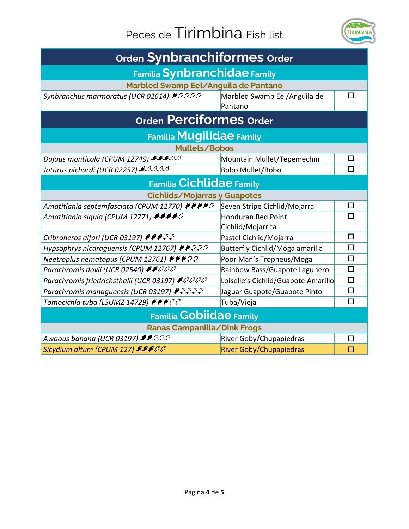

| Orden Synbranchiformes Order                                |                                                |        |  |
|-------------------------------------------------------------|------------------------------------------------|--------|--|
| <b>Familia Synbranchidae Family</b>                         |                                                |        |  |
| Marbled Swamp Eel/Anguila de Pantano                        |                                                |        |  |
| Synbranchus marmoratus (UCR 02614) + PPPP                   | Marbled Swamp Eel/Anguila de<br>Pantano        | □      |  |
| <b>Orden Perciformes Order</b>                              |                                                |        |  |
| <b>Familia Mugilidae Family</b>                             |                                                |        |  |
| Mullets/Bobos                                               |                                                |        |  |
| Dajaus monticola (CPUM 12749) FFFQQ                         | Mountain Mullet/Tepemechín                     | п      |  |
| Joturus pichardi (UCR 02257) ♦ २२२२                         | Bobo Mullet/Bobo                               | □      |  |
| <b>Familia Cichlidae Family</b>                             |                                                |        |  |
| <b>Cichlids/Mojarras y Guapotes</b>                         |                                                |        |  |
| Amatitlania septemfasciata (CPUM 12770) ₱₱₱₱₽               | Seven Stripe Cichlid/Mojarra                   | □      |  |
| Amatitlania siquia (CPUM 12771) ####                        | <b>Honduran Red Point</b><br>Cichlid/Mojarrita | □      |  |
| Cribroheros alfari (UCR 03197) +++++                        | Pastel Cichlid/Mojarra                         | $\Box$ |  |
| Hypsophrys nicaraguensis (CPUM 12767) ₹₹₽₽₽                 | <b>Butterfly Cichlid/Moga amarilla</b>         | П      |  |
| Neetroplus nematopus (CPUM 12761) $\blacktriangleright$ PPQ | Poor Man's Tropheus/Moga                       | □      |  |
| Parachromis dovii (UCR 02540) ♦♦ २२२                        | Rainbow Bass/Guapote Lagunero                  | $\Box$ |  |
| Parachromis friedrichsthalii (UCR 03197) <sup>\$</sup> PPPP | Loiselle's Cichlid/Guapote Amarillo            | $\Box$ |  |
| Parachromis managuensis (UCR 03197) ♦ २२२२                  | Jaguar Guapote/Guapote Pinto                   | □      |  |
| Tomocichla tuba (LSUMZ 14729) ♦♦♦ २२                        | Tuba/Vieja                                     | □      |  |
| <b>Familia Gobiidae Family</b>                              |                                                |        |  |
| Ranas Campanilla/Dink Frogs                                 |                                                |        |  |
| Awaous banana (UCR 03197) ♦ ♦ २२२                           | River Goby/Chupapiedras                        | □      |  |
| Sicydium altum (CPUM 127) +++++                             | <b>River Goby/Chupapiedras</b>                 | П      |  |